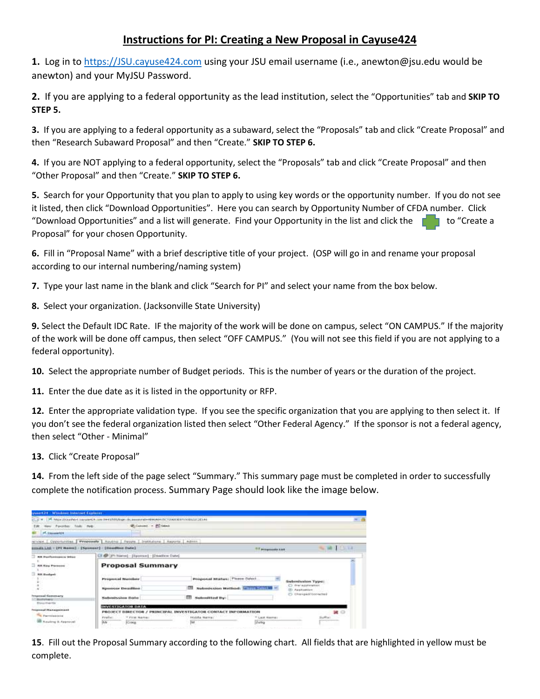## **Instructions for PI: Creating a New Proposal in Cayuse424**

**1.** Log in to [https://JSU.cayuse424.com](https://jsu.cayuse424.com/) using your JSU email username (i.e., anewton@jsu.edu would be anewton) and your MyJSU Password.

**2.** If you are applying to a federal opportunity as the lead institution, select the "Opportunities" tab and **SKIP TO STEP 5.**

**3.** If you are applying to a federal opportunity as a subaward, select the "Proposals" tab and click "Create Proposal" and then "Research Subaward Proposal" and then "Create." **SKIP TO STEP 6.** 

**4.** If you are NOT applying to a federal opportunity, select the "Proposals" tab and click "Create Proposal" and then "Other Proposal" and then "Create." **SKIP TO STEP 6.** 

**5.** Search for your Opportunity that you plan to apply to using key words or the opportunity number. If you do not see it listed, then click "Download Opportunities". Here you can search by Opportunity Number of CFDA number. Click "Download Opportunities" and a list will generate. Find your Opportunity in the list and click the  $\Box$  to "Create a Proposal" for your chosen Opportunity.

**6.** Fill in "Proposal Name" with a brief descriptive title of your project. (OSP will go in and rename your proposal according to our internal numbering/naming system)

**7.** Type your last name in the blank and click "Search for PI" and select your name from the box below.

**8.** Select your organization. (Jacksonville State University)

**9.** Select the Default IDC Rate. IF the majority of the work will be done on campus, select "ON CAMPUS." If the majority of the work will be done off campus, then select "OFF CAMPUS." (You will not see this field if you are not applying to a federal opportunity).

**10.** Select the appropriate number of Budget periods. This is the number of years or the duration of the project.

**11.** Enter the due date as it is listed in the opportunity or RFP.

**12.** Enter the appropriate validation type. If you see the specific organization that you are applying to then select it. If you don't see the federal organization listed then select "Other Federal Agency." If the sponsor is not a federal agency, then select "Other - Minimal"

**13.** Click "Create Proposal"

**14.** From the left side of the page select "Summary." This summary page must be completed in order to successfully complete the notification process. Summary Page should look like the image below.

| <b>CONSULTANT AND RESERVED TO THE PARTIES.</b>                                                  |                                                                                                                                     |                                |                                  |                                          |  |
|-------------------------------------------------------------------------------------------------|-------------------------------------------------------------------------------------------------------------------------------------|--------------------------------|----------------------------------|------------------------------------------|--|
| THE R PRINCIPAL CONTRACTOR (2012) 1999 AND ARRESTS AND INTERNATIONAL PROPERTY AND INTERNATIONAL |                                                                                                                                     |                                |                                  |                                          |  |
| New Payment Tools PMB-.                                                                         | Withmore - ED talent                                                                                                                |                                |                                  |                                          |  |
| <b>M. Classage LOW</b>                                                                          |                                                                                                                                     |                                |                                  |                                          |  |
| relivies.   Opportunities.                                                                      | Proposals   Routig   Regis   Institutors   Agrots   Admin-                                                                          |                                |                                  |                                          |  |
| turneds Ltd. - 199 Names] - [Sponsor] - [Deadline Date]                                         |                                                                                                                                     |                                | <sup>1917</sup> Managements List | <b>SCHOOL</b>                            |  |
| als businessers before                                                                          | EX 49   Pt harrel - [Rponser] - [Dpattere Date]                                                                                     |                                |                                  |                                          |  |
| <b>BR Rey Persons</b>                                                                           | <b>Proposal Summary</b>                                                                                                             |                                |                                  |                                          |  |
| BR Bodget<br>착 타이 사내                                                                            | Proposal Number                                                                                                                     | Proposal Istatus; Plane Select |                                  | Submission Type:                         |  |
|                                                                                                 | <b>Biomovine Desaultino</b>                                                                                                         |                                | Submission Method: William Hills | C) dranaged installed<br>(F) Application |  |
| Fenuencal Gamenary<br><b>Bustana</b> (c)                                                        | Submission Date                                                                                                                     | Submitted By:<br>m             |                                  | ES three perhitonisates                  |  |
| Divisitiweda <sup>1</sup><br><b>INVESTIGATOR DATA</b><br>Frequencial Planmippointant            |                                                                                                                                     |                                |                                  |                                          |  |
| <b>The Parryington's</b>                                                                        | PROJECT DIRECTOR / PRINCIPAL INVESTIGATOR CONTACT INFORMATION<br>* First Name:<br>Prefiel:<br><b>NGHMA NATION</b><br>* Last Narros: |                                |                                  | 38 〇<br>Suffia:                          |  |
| <b>SE Rocking &amp; Approval</b>                                                                | $\overline{y_iy_j}$<br>Craig                                                                                                        | he                             | Duble                            | ere                                      |  |

**15**. Fill out the Proposal Summary according to the following chart. All fields that are highlighted in yellow must be complete.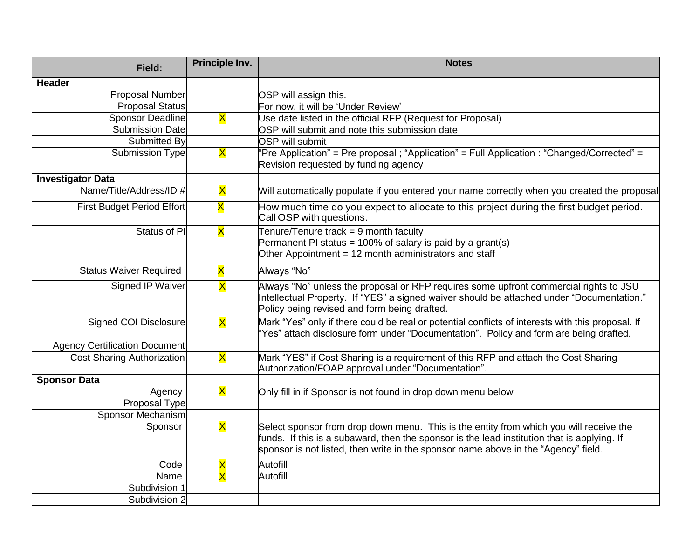| Field:                               | Principle Inv.          | <b>Notes</b>                                                                                                                                                                                                                                                                |  |
|--------------------------------------|-------------------------|-----------------------------------------------------------------------------------------------------------------------------------------------------------------------------------------------------------------------------------------------------------------------------|--|
| <b>Header</b>                        |                         |                                                                                                                                                                                                                                                                             |  |
| <b>Proposal Number</b>               |                         | OSP will assign this.                                                                                                                                                                                                                                                       |  |
| <b>Proposal Status</b>               |                         | For now, it will be 'Under Review'                                                                                                                                                                                                                                          |  |
| Sponsor Deadline                     | $\overline{\mathsf{x}}$ | Use date listed in the official RFP (Request for Proposal)                                                                                                                                                                                                                  |  |
| <b>Submission Date</b>               |                         | OSP will submit and note this submission date                                                                                                                                                                                                                               |  |
| Submitted By                         |                         | <b>OSP will submit</b>                                                                                                                                                                                                                                                      |  |
| Submission Type                      | $\overline{\mathsf{x}}$ | 'Pre Application" = Pre proposal ; "Application" = Full Application : "Changed/Corrected" =<br>Revision requested by funding agency                                                                                                                                         |  |
| <b>Investigator Data</b>             |                         |                                                                                                                                                                                                                                                                             |  |
| Name/Title/Address/ID #              | X                       | Will automatically populate if you entered your name correctly when you created the proposal                                                                                                                                                                                |  |
| <b>First Budget Period Effort</b>    | X                       | How much time do you expect to allocate to this project during the first budget period.<br>Call OSP with questions.                                                                                                                                                         |  |
| Status of PI                         | $\overline{\mathsf{x}}$ | Tenure/Tenure track = 9 month faculty<br>Permanent PI status = 100% of salary is paid by a grant(s)<br>Other Appointment = 12 month administrators and staff                                                                                                                |  |
| <b>Status Waiver Required</b>        | $\overline{\mathsf{x}}$ | Always "No"                                                                                                                                                                                                                                                                 |  |
| <b>Signed IP Waiver</b>              | X                       | Always "No" unless the proposal or RFP requires some upfront commercial rights to JSU<br>Intellectual Property. If "YES" a signed waiver should be attached under "Documentation."<br>Policy being revised and form being drafted.                                          |  |
| Signed COI Disclosure                | X                       | Mark "Yes" only if there could be real or potential conflicts of interests with this proposal. If<br>'Yes" attach disclosure form under "Documentation". Policy and form are being drafted.                                                                                 |  |
| <b>Agency Certification Document</b> |                         |                                                                                                                                                                                                                                                                             |  |
| <b>Cost Sharing Authorization</b>    | $\overline{\mathsf{x}}$ | Mark "YES" if Cost Sharing is a requirement of this RFP and attach the Cost Sharing<br>Authorization/FOAP approval under "Documentation".                                                                                                                                   |  |
| <b>Sponsor Data</b>                  |                         |                                                                                                                                                                                                                                                                             |  |
| Agency                               | X                       | Only fill in if Sponsor is not found in drop down menu below                                                                                                                                                                                                                |  |
| Proposal Type                        |                         |                                                                                                                                                                                                                                                                             |  |
| <b>Sponsor Mechanism</b>             |                         |                                                                                                                                                                                                                                                                             |  |
| Sponsor                              | X                       | Select sponsor from drop down menu. This is the entity from which you will receive the<br>funds. If this is a subaward, then the sponsor is the lead institution that is applying. If<br>sponsor is not listed, then write in the sponsor name above in the "Agency" field. |  |
| Code                                 | $\overline{\mathsf{X}}$ | Autofill                                                                                                                                                                                                                                                                    |  |
| Name                                 | $\overline{\mathsf{X}}$ | Autofill                                                                                                                                                                                                                                                                    |  |
| Subdivision 1                        |                         |                                                                                                                                                                                                                                                                             |  |
| Subdivision 2                        |                         |                                                                                                                                                                                                                                                                             |  |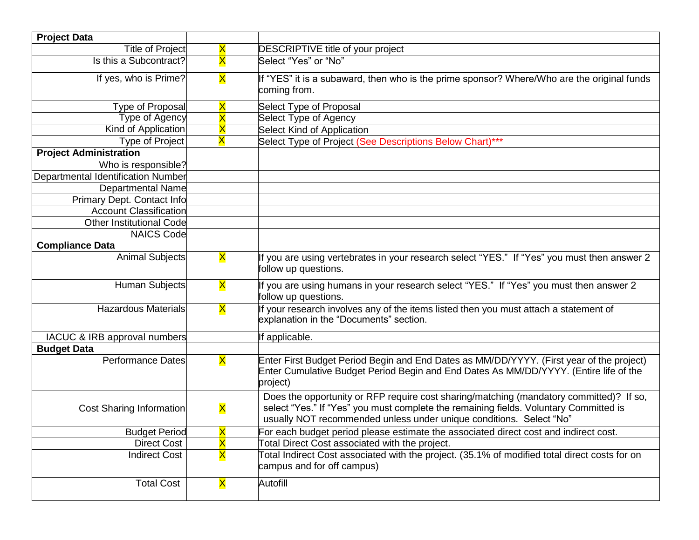| <b>Project Data</b>                |                         |                                                                                                                                                                                                                                                         |
|------------------------------------|-------------------------|---------------------------------------------------------------------------------------------------------------------------------------------------------------------------------------------------------------------------------------------------------|
| Title of Project                   | X                       | <b>DESCRIPTIVE title of your project</b>                                                                                                                                                                                                                |
| Is this a Subcontract?             | $\overline{\mathsf{x}}$ | Select "Yes" or "No"                                                                                                                                                                                                                                    |
| If yes, who is Prime?              | <b>X</b>                | If "YES" it is a subaward, then who is the prime sponsor? Where/Who are the original funds<br>coming from.                                                                                                                                              |
| Type of Proposal                   | $\overline{\mathsf{x}}$ | Select Type of Proposal                                                                                                                                                                                                                                 |
| <b>Type of Agency</b>              | $\overline{\mathsf{X}}$ | Select Type of Agency                                                                                                                                                                                                                                   |
| Kind of Application                | X                       | <b>Select Kind of Application</b>                                                                                                                                                                                                                       |
| Type of Project                    | Χ                       | Select Type of Project (See Descriptions Below Chart)***                                                                                                                                                                                                |
| <b>Project Administration</b>      |                         |                                                                                                                                                                                                                                                         |
| Who is responsible?                |                         |                                                                                                                                                                                                                                                         |
| Departmental Identification Number |                         |                                                                                                                                                                                                                                                         |
| Departmental Name                  |                         |                                                                                                                                                                                                                                                         |
| Primary Dept. Contact Info         |                         |                                                                                                                                                                                                                                                         |
| <b>Account Classification</b>      |                         |                                                                                                                                                                                                                                                         |
| <b>Other Institutional Code</b>    |                         |                                                                                                                                                                                                                                                         |
| <b>NAICS Code</b>                  |                         |                                                                                                                                                                                                                                                         |
| <b>Compliance Data</b>             |                         |                                                                                                                                                                                                                                                         |
| <b>Animal Subjects</b>             | $\overline{\mathsf{x}}$ | If you are using vertebrates in your research select "YES." If "Yes" you must then answer 2<br>follow up questions.                                                                                                                                     |
| Human Subjects                     | X                       | If you are using humans in your research select "YES." If "Yes" you must then answer 2<br>follow up questions.                                                                                                                                          |
| <b>Hazardous Materials</b>         | $\overline{\mathsf{x}}$ | If your research involves any of the items listed then you must attach a statement of<br>explanation in the "Documents" section.                                                                                                                        |
| IACUC & IRB approval numbers       |                         | If applicable.                                                                                                                                                                                                                                          |
| <b>Budget Data</b>                 |                         |                                                                                                                                                                                                                                                         |
| <b>Performance Dates</b>           | $\mathsf{\overline{X}}$ | Enter First Budget Period Begin and End Dates as MM/DD/YYYY. (First year of the project)<br>Enter Cumulative Budget Period Begin and End Dates As MM/DD/YYYY. (Entire life of the<br>project)                                                           |
| <b>Cost Sharing Information</b>    | X                       | Does the opportunity or RFP require cost sharing/matching (mandatory committed)? If so,<br>select "Yes." If "Yes" you must complete the remaining fields. Voluntary Committed is<br>usually NOT recommended unless under unique conditions. Select "No" |
| <b>Budget Period</b>               | $\overline{\mathsf{x}}$ | For each budget period please estimate the associated direct cost and indirect cost.                                                                                                                                                                    |
| <b>Direct Cost</b>                 | $\overline{\mathsf{X}}$ | Total Direct Cost associated with the project.                                                                                                                                                                                                          |
| <b>Indirect Cost</b>               | X                       | Total Indirect Cost associated with the project. (35.1% of modified total direct costs for on<br>campus and for off campus)                                                                                                                             |
| <b>Total Cost</b>                  | X                       | Autofill                                                                                                                                                                                                                                                |
|                                    |                         |                                                                                                                                                                                                                                                         |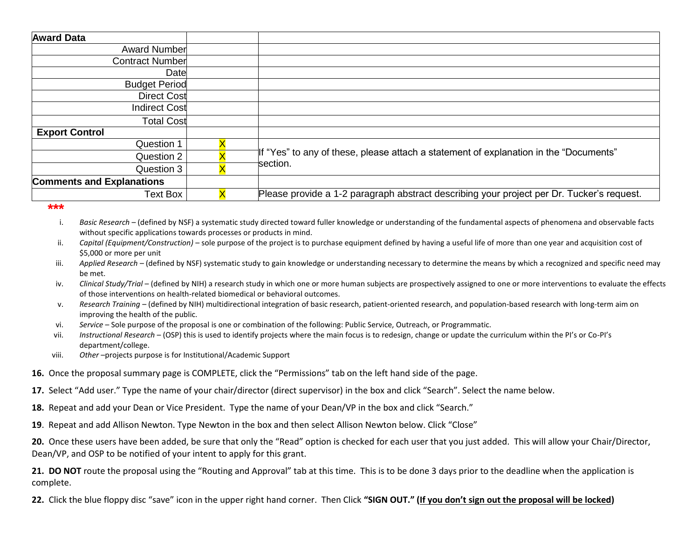| <b>Award Data</b>                |                                                                                           |  |
|----------------------------------|-------------------------------------------------------------------------------------------|--|
| <b>Award Number</b>              |                                                                                           |  |
| Contract Number                  |                                                                                           |  |
| Date                             |                                                                                           |  |
| <b>Budget Period</b>             |                                                                                           |  |
| Direct Cost                      |                                                                                           |  |
| Indirect Cost                    |                                                                                           |  |
| <b>Total Cost</b>                |                                                                                           |  |
| <b>Export Control</b>            |                                                                                           |  |
| Question 1                       |                                                                                           |  |
| Question 2                       | If "Yes" to any of these, please attach a statement of explanation in the "Documents"     |  |
| Question 3                       | section.                                                                                  |  |
| <b>Comments and Explanations</b> |                                                                                           |  |
| <b>Text Box</b>                  | Please provide a 1-2 paragraph abstract describing your project per Dr. Tucker's request. |  |

## **\*\*\***

- i. *Basic Research*  (defined by NSF) a systematic study directed toward fuller knowledge or understanding of the fundamental aspects of phenomena and observable facts without specific applications towards processes or products in mind.
- ii. *Capital (Equipment/Construction)* sole purpose of the project is to purchase equipment defined by having a useful life of more than one year and acquisition cost of \$5,000 or more per unit
- iii. *Applied Research*  (defined by NSF) systematic study to gain knowledge or understanding necessary to determine the means by which a recognized and specific need may be met.
- iv. *Clinical Study/Trial* (defined by NIH) a research study in which one or more human subjects are prospectively assigned to one or more interventions to evaluate the effects of those interventions on health-related biomedical or behavioral outcomes.
- v. *Research Training*  (defined by NIH) multidirectional integration of basic research, patient-oriented research, and population-based research with long-term aim on improving the health of the public.
- vi. *Service*  Sole purpose of the proposal is one or combination of the following: Public Service, Outreach, or Programmatic.
- vii. *Instructional Research*  (OSP) this is used to identify projects where the main focus is to redesign, change or update the curriculum within the PI's or Co-PI's department/college.
- viii. *Other* –projects purpose is for Institutional/Academic Support
- **16.** Once the proposal summary page is COMPLETE, click the "Permissions" tab on the left hand side of the page.
- **17.** Select "Add user." Type the name of your chair/director (direct supervisor) in the box and click "Search". Select the name below.
- **18.** Repeat and add your Dean or Vice President. Type the name of your Dean/VP in the box and click "Search."
- **19**. Repeat and add Allison Newton. Type Newton in the box and then select Allison Newton below. Click "Close"

**20.** Once these users have been added, be sure that only the "Read" option is checked for each user that you just added. This will allow your Chair/Director, Dean/VP, and OSP to be notified of your intent to apply for this grant.

**21. DO NOT** route the proposal using the "Routing and Approval" tab at this time. This is to be done 3 days prior to the deadline when the application is complete.

**22.** Click the blue floppy disc "save" icon in the upper right hand corner. Then Click **"SIGN OUT." (If you don't sign out the proposal will be locked)**